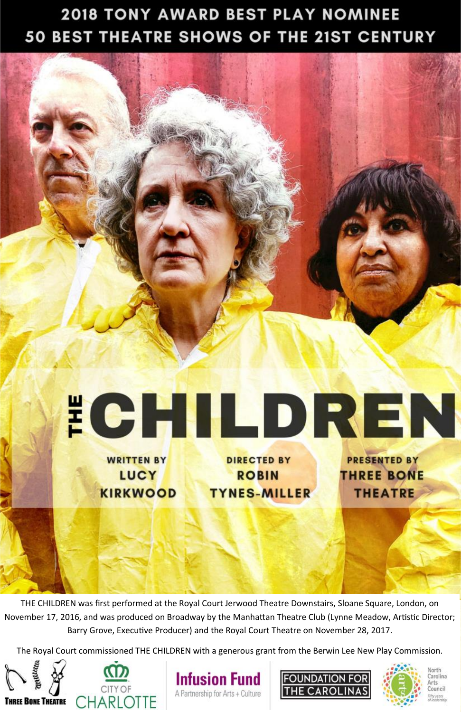## **2018 TONY AWARD BEST PLAY NOMINEE** 50 BEST THEATRE SHOWS OF THE 21ST CENTURY





**TYNES-MILLER** 

THE CHILDREN was first performed at the Royal Court Jerwood Theatre Downstairs, Sloane Square, London, on November 17, 2016, and was produced on Broadway by the Manhattan Theatre Club (Lynne Meadow, Artistic Director; Barry Grove, Executive Producer) and the Royal Court Theatre on November 28, 2017.

The Royal Court commissioned THE CHILDREN with a generous grant from the Berwin Lee New Play Commission.





**KIRKWOOD** 





Carolina

`ouneil

**Irts** 

**THEATRE**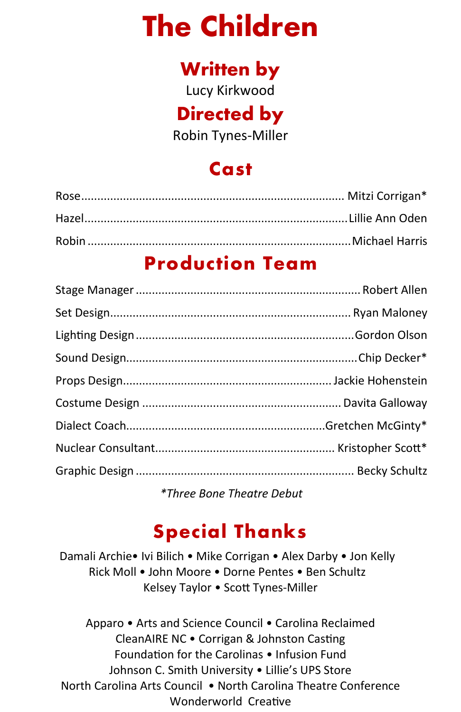# **The Children**

## **Written by**

Lucy Kirkwood

## **Directed by**

Robin Tynes-Miller

## **Cast**

### **Production Team**

*\*Three Bone Theatre Debut*

## **Special Thanks**

Damali Archie• Ivi Bilich • Mike Corrigan • Alex Darby • Jon Kelly • Rick Moll • John Moore • Dorne Pentes • Ben Schultz• Kelsey Taylor • Scott Tynes-Miller

Apparo • Arts and Science Council • Carolina Reclaimed CleanAIRE NC • Corrigan & Johnston Casting Foundation for the Carolinas • Infusion Fund Johnson C. Smith University • Lillie's UPS Store North Carolina Arts Council • North Carolina Theatre Conference Wonderworld Creative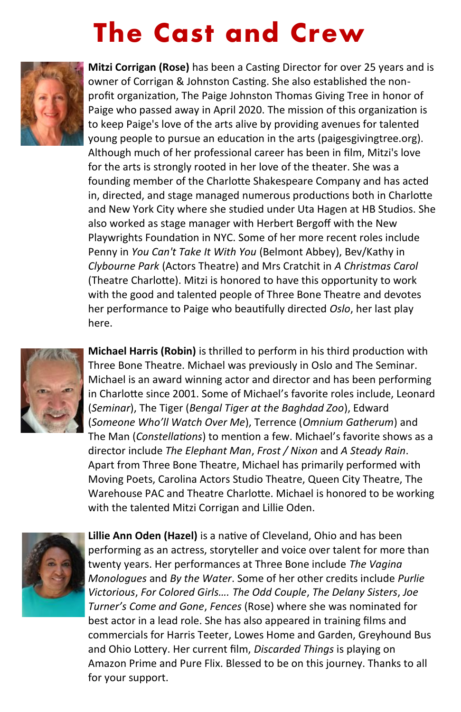# **The Cast and Crew**



**Mitzi Corrigan (Rose)** has been a Casting Director for over 25 years and is owner of Corrigan & Johnston Casting. She also established the nonprofit organization, The Paige Johnston Thomas Giving Tree in honor of Paige who passed away in April 2020. The mission of this organization is to keep Paige's love of the arts alive by providing avenues for talented young people to pursue an education in the arts (paigesgivingtree.org). Although much of her professional career has been in film, Mitzi's love for the arts is strongly rooted in her love of the theater. She was a founding member of the Charlotte Shakespeare Company and has acted in, directed, and stage managed numerous productions both in Charlotte and New York City where she studied under Uta Hagen at HB Studios. She also worked as stage manager with Herbert Bergoff with the New Playwrights Foundation in NYC. Some of her more recent roles include Penny in *You Can't Take It With You* (Belmont Abbey), Bev/Kathy in *Clybourne Park* (Actors Theatre) and Mrs Cratchit in *A Christmas Carol*  (Theatre Charlotte). Mitzi is honored to have this opportunity to work with the good and talented people of Three Bone Theatre and devotes her performance to Paige who beautifully directed *Oslo*, her last play here.



**Michael Harris (Robin)** is thrilled to perform in his third production with Three Bone Theatre. Michael was previously in Oslo and The Seminar. Michael is an award winning actor and director and has been performing in Charlotte since 2001. Some of Michael's favorite roles include, Leonard (*Seminar*), The Tiger (*Bengal Tiger at the Baghdad Zoo*), Edward (*Someone Who'll Watch Over Me*), Terrence (*Omnium Gatherum*) and The Man (*Constellations*) to mention a few. Michael's favorite shows as a director include *The Elephant Man*, *Frost / Nixon* and *A Steady Rain*. Apart from Three Bone Theatre, Michael has primarily performed with Moving Poets, Carolina Actors Studio Theatre, Queen City Theatre, The Warehouse PAC and Theatre Charlotte. Michael is honored to be working with the talented Mitzi Corrigan and Lillie Oden.



**Lillie Ann Oden (Hazel)** is a native of Cleveland, Ohio and has been performing as an actress, storyteller and voice over talent for more than twenty years. Her performances at Three Bone include *The Vagina Monologues* and *By the Water*. Some of her other credits include *Purlie Victorious*, *For Colored Girls…. The Odd Couple*, *The Delany Sisters*, *Joe Turner's Come and Gone*, *Fences* (Rose) where she was nominated for best actor in a lead role. She has also appeared in training films and commercials for Harris Teeter, Lowes Home and Garden, Greyhound Bus and Ohio Lottery. Her current film, *Discarded Things* is playing on Amazon Prime and Pure Flix. Blessed to be on this journey. Thanks to all for your support.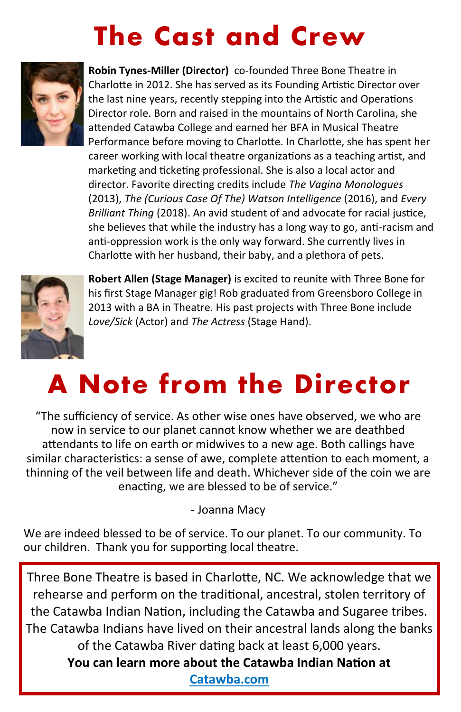# **The Cast and Crew**



**Robin Tynes-Miller (Director)** co-founded Three Bone Theatre in Charlotte in 2012. She has served as its Founding Artistic Director over the last nine years, recently stepping into the Artistic and Operations Director role. Born and raised in the mountains of North Carolina, she attended Catawba College and earned her BFA in Musical Theatre Performance before moving to Charlotte. In Charlotte, she has spent her career working with local theatre organizations as a teaching artist, and marketing and ticketing professional. She is also a local actor and director. Favorite directing credits include *The Vagina Monologues* (2013), *The (Curious Case Of The) Watson Intelligence* (2016), and *Every Brilliant Thing* (2018). An avid student of and advocate for racial justice, she believes that while the industry has a long way to go, anti-racism and anti-oppression work is the only way forward. She currently lives in Charlotte with her husband, their baby, and a plethora of pets.



**Robert Allen (Stage Manager)** is excited to reunite with Three Bone for his first Stage Manager gig! Rob graduated from Greensboro College in 2013 with a BA in Theatre. His past projects with Three Bone include *Love/Sick* (Actor) and *The Actress* (Stage Hand).

# **A Note from the Director**

"The sufficiency of service. As other wise ones have observed, we who are now in service to our planet cannot know whether we are deathbed attendants to life on earth or midwives to a new age. Both callings have similar characteristics: a sense of awe, complete attention to each moment, a thinning of the veil between life and death. Whichever side of the coin we are enacting, we are blessed to be of service."

- Joanna Macy

We are indeed blessed to be of service. To our planet. To our community. To our children. Thank you for supporting local theatre.

Three Bone Theatre is based in Charlotte, NC. We acknowledge that we rehearse and perform on the traditional, ancestral, stolen territory of the Catawba Indian Nation, including the Catawba and Sugaree tribes. The Catawba Indians have lived on their ancestral lands along the banks of the Catawba River dating back at least 6,000 years. **You can learn more about the Catawba Indian Nation at [Catawba.com](https://www.catawba.com/)**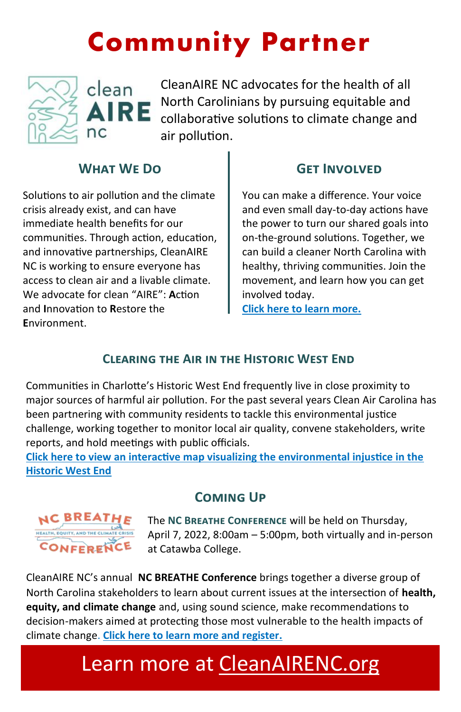# **Community Partner**



CleanAIRE NC advocates for the health of all North Carolinians by pursuing equitable and collaborative solutions to climate change and air pollution.

### **What We Do**

Solutions to air pollution and the climate crisis already exist, and can have immediate health benefits for our communities. Through action, education, and innovative partnerships, CleanAIRE NC is working to ensure everyone has access to clean air and a livable climate. We advocate for clean "AIRE": **A**ction and **I**nnovation to **R**estore the **E**nvironment.

### **Get Involved**

You can make a difference. Your voice and even small day-to-day actions have the power to turn our shared goals into on-the-ground solutions. Together, we can build a cleaner North Carolina with healthy, thriving communities. Join the movement, and learn how you can get involved today.

**[Click here to learn more.](https://cleanairenc.org/take-action/)**

### **Clearing the Air in the Historic West End**

Communities in Charlotte's Historic West End frequently live in close proximity to major sources of harmful air pollution. For the past several years Clean Air Carolina has been partnering with community residents to tackle this environmental justice challenge, working together to monitor local air quality, convene stakeholders, write reports, and hold meetings with public officials.

**[Click here to view an interactive map visualizing the environmental injustice in the](https://storymaps.arcgis.com/stories/5071792639ef47729fad54da835d37d3)  [Historic West End](https://storymaps.arcgis.com/stories/5071792639ef47729fad54da835d37d3)**

### **Coming Up**



The **NC Breathe Conference** will be held on Thursday, April 7, 2022, 8:00am – 5:00pm, both virtually and in-person at Catawba College.

CleanAIRE NC's annual **NC BREATHE Conference** brings together a diverse group of North Carolina stakeholders to learn about current issues at the intersection of **health, equity, and climate change** and, using sound science, make recommendations to decision-makers aimed at protecting those most vulnerable to the health impacts of climate change. **[Click here to learn more and register.](https://cleanairenc.org/cleanaire-events/nc-breathe-2022/)**

# Learn more at [CleanAIRENC.org](http://www.cleanairenc.org)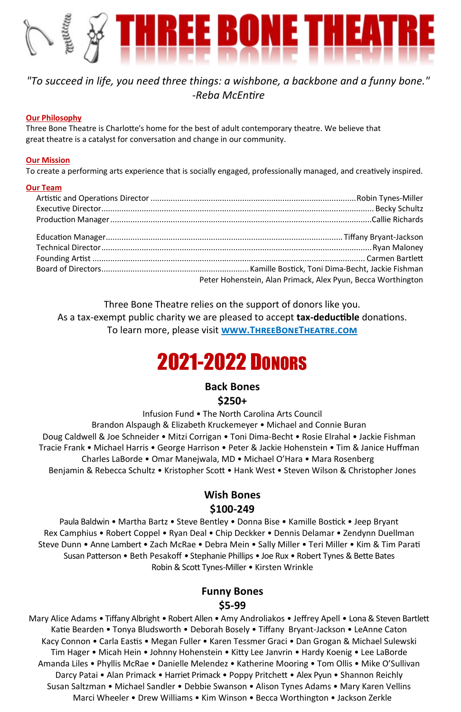# <u>HREE BONE THEATRE</u>

### *"To succeed in life, you need three things: a wishbone, a backbone and a funny bone." -Reba McEntire*

### **Our Philosophy**

Three Bone Theatre is Charlotte's home for the best of adult contemporary theatre. We believe that great theatre is a catalyst for conversation and change in our community.

### **Our Mission**

To create a performing arts experience that is socially engaged, professionally managed, and creatively inspired.

### **Our Team**

| Peter Hohenstein, Alan Primack, Alex Pyun, Becca Worthington |
|--------------------------------------------------------------|

Three Bone Theatre relies on the support of donors like you. As a tax-exempt public charity we are pleased to accept **tax-deductible** donations. To learn more, please visit **[www.ThreeBoneTheatre.com](http://www.threebonetheatre.com)**

## 2021-2022 DONORS

### **Back Bones \$250+**

Infusion Fund • The North Carolina Arts Council

Brandon Alspaugh & Elizabeth Kruckemeyer • Michael and Connie Buran • Doug Caldwell & Joe Schneider • Mitzi Corrigan • Toni Dima-Becht • Rosie Elrahal • Jackie Fishman • Tracie Frank • Michael Harris • George Harrison • Peter & Jackie Hohenstein • Tim & Janice Huffman • Charles LaBorde • Omar Manejwala, MD • Michael O'Hara • Mara Rosenberg • Benjamin & Rebecca Schultz • Kristopher Scott • Hank West • Steven Wilson & Christopher Jones

### **Wish Bones**

### **\$100-249**

Paula Baldwin • Martha Bartz • Steve Bentley • Donna Bise • Kamille Bostick • Jeep Bryant • Rex Camphius • Robert Coppel • Ryan Deal • Chip Deckker • Dennis Delamar • Zendynn Duellman • Steve Dunn • Anne Lambert • Zach McRae • Debra Mein • Sally Miller • Teri Miller • Kim & Tim Parati • Susan Patterson • Beth Pesakoff • Stephanie Phillips • Joe Rux • Robert Tynes & Bette Bates • Robin & Scott Tynes-Miller • Kirsten Wrinkle

### **Funny Bones \$5-99**

Mary Alice Adams • Tiffany Albright • Robert Allen • Amy Androliakos • Jeffrey Apell • Lona & Steven Bartlett Katie Bearden • Tonya Bludsworth • Deborah Bosely • Tiffany Bryant-Jackson • LeAnne Caton • Kacy Connon • Carla Eastis • Megan Fuller • Karen Tessmer Graci • Dan Grogan & Michael Sulewski • Tim Hager • Micah Hein • Johnny Hohenstein • Kitty Lee Janvrin • Hardy Koenig • Lee LaBorde • Amanda Liles • Phyllis McRae • Danielle Melendez • Katherine Mooring • Tom Ollis • Mike O'Sullivan • Darcy Patai • Alan Primack • Harriet Primack • Poppy Pritchett • Alex Pyun • Shannon Reichly • Susan Saltzman • Michael Sandler • Debbie Swanson • Alison Tynes Adams • Mary Karen Vellins • Marci Wheeler • Drew Williams • Kim Winson • Becca Worthington • Jackson Zerkle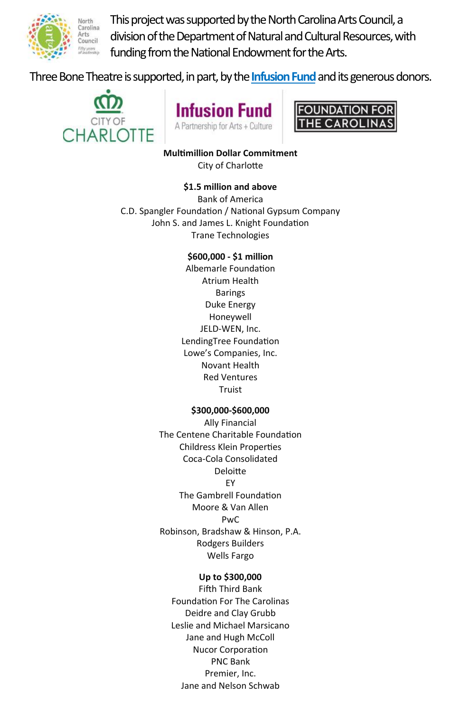

This project was supported by the North Carolina Arts Council, a division of the Department of Natural and Cultural Resources, with funding from the National Endowment for the Arts.

Three Bone Theatre is supported, in part, by the **[Infusion Fund](http://www.theinfusionfund.org)**and its generous donors.







**Multimillion Dollar Commitment** City of Charlotte

### **\$1.5 million and above**

Bank of America C.D. Spangler Foundation / National Gypsum Company John S. and James L. Knight Foundation Trane Technologies

> **\$600,000 - \$1 million** Albemarle Foundation Atrium Health Barings Duke Energy Honeywell JELD-WEN, Inc. LendingTree Foundation Lowe's Companies, Inc. Novant Health Red Ventures Truist

### **\$300,000-\$600,000**

Ally Financial The Centene Charitable Foundation Childress Klein Properties Coca-Cola Consolidated Deloitte EY The Gambrell Foundation Moore & Van Allen PwC Robinson, Bradshaw & Hinson, P.A. Rodgers Builders Wells Fargo

### **Up to \$300,000**

Fifth Third Bank Foundation For The Carolinas Deidre and Clay Grubb Leslie and Michael Marsicano Jane and Hugh McColl Nucor Corporation PNC Bank Premier, Inc. Jane and Nelson Schwab